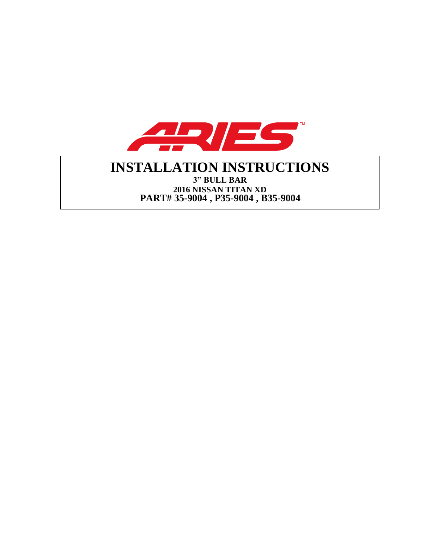

# **INSTALLATION INSTRUCTIONS 3" BULL BAR**

**2016 NISSAN TITAN XD PART# 35-9004 , P35-9004 , B35-9004**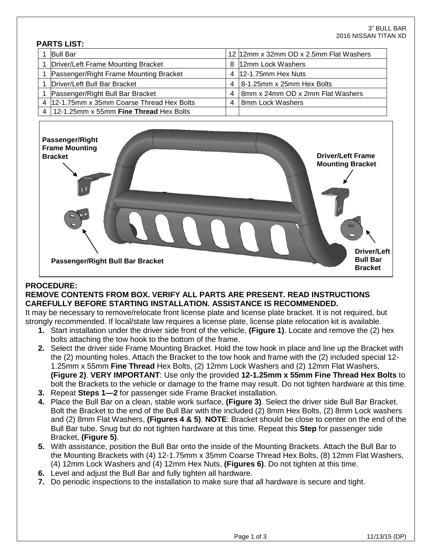#### **PARTS LIST:**

| <b>Bull Bar</b>                            |   | 12 12mm x 32mm OD x 2.5mm Flat Washers |
|--------------------------------------------|---|----------------------------------------|
| Driver/Left Frame Mounting Bracket         |   | 8 12mm Lock Washers                    |
| Passenger/Right Frame Mounting Bracket     |   | 4 12-1.75mm Hex Nuts                   |
| Driver/Left Bull Bar Bracket               | 4 | 8-1.25mm x 25mm Hex Bolts              |
| Passenger/Right Bull Bar Bracket           | 4 | 8mm x 24mm OD x 2mm Flat Washers       |
| 4 12-1.75mm x 35mm Coarse Thread Hex Bolts | 4 | 8mm Lock Washers                       |
| 4   12-1.25mm x 55mm Fine Thread Hex Bolts |   |                                        |



#### **PROCEDURE:**

#### **REMOVE CONTENTS FROM BOX. VERIFY ALL PARTS ARE PRESENT. READ INSTRUCTIONS CAREFULLY BEFORE STARTING INSTALLATION. ASSISTANCE IS RECOMMENDED.**

It may be necessary to remove/relocate front license plate and license plate bracket. It is not required, but strongly recommended. If local/state law requires a license plate, license plate relocation kit is available.

- **1.** Start installation under the driver side front of the vehicle, **(Figure 1)**. Locate and remove the (2) hex bolts attaching the tow hook to the bottom of the frame.
- **2.** Select the driver side Frame Mounting Bracket. Hold the tow hook in place and line up the Bracket with the (2) mounting holes. Attach the Bracket to the tow hook and frame with the (2) included special 12- 1.25mm x 55mm **Fine Thread** Hex Bolts, (2) 12mm Lock Washers and (2) 12mm Flat Washers, **(Figure 2)**. **VERY IMPORTANT**: Use only the provided **12-1.25mm x 55mm Fine Thread Hex Bolts** to bolt the Brackets to the vehicle or damage to the frame may result. Do not tighten hardware at this time.
- **3.** Repeat **Steps 1—2** for passenger side Frame Bracket installation.
- **4.** Place the Bull Bar on a clean, stable work surface, **(Figure 3)**. Select the driver side Bull Bar Bracket. Bolt the Bracket to the end of the Bull Bar with the included (2) 8mm Hex Bolts, (2) 8mm Lock washers and (2) 8mm Flat Washers, **(Figures 4 & 5)**. **NOTE**: Bracket should be close to center on the end of the Bull Bar tube. Snug but do not tighten hardware at this time. Repeat this **Step** for passenger side Bracket, **(Figure 5)**.
- **5.** With assistance, position the Bull Bar onto the inside of the Mounting Brackets. Attach the Bull Bar to the Mounting Brackets with (4) 12-1.75mm x 35mm Coarse Thread Hex Bolts, (8) 12mm Flat Washers, (4) 12mm Lock Washers and (4) 12mm Hex Nuts, **(Figures 6)**. Do not tighten at this time.
- **6.** Level and adjust the Bull Bar and fully tighten all hardware.
- **7.** Do periodic inspections to the installation to make sure that all hardware is secure and tight.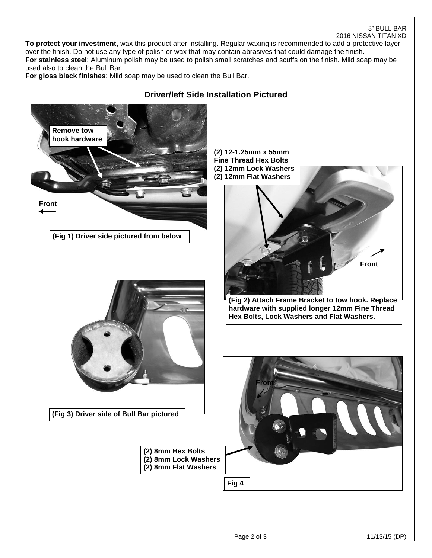### 3" BULL BAR

#### 2016 NISSAN TITAN XD

**To protect your investment**, wax this product after installing. Regular waxing is recommended to add a protective layer over the finish. Do not use any type of polish or wax that may contain abrasives that could damage the finish. **For stainless steel**: Aluminum polish may be used to polish small scratches and scuffs on the finish. Mild soap may be used also to clean the Bull Bar.

**For gloss black finishes**: Mild soap may be used to clean the Bull Bar.



## **Driver/left Side Installation Pictured**